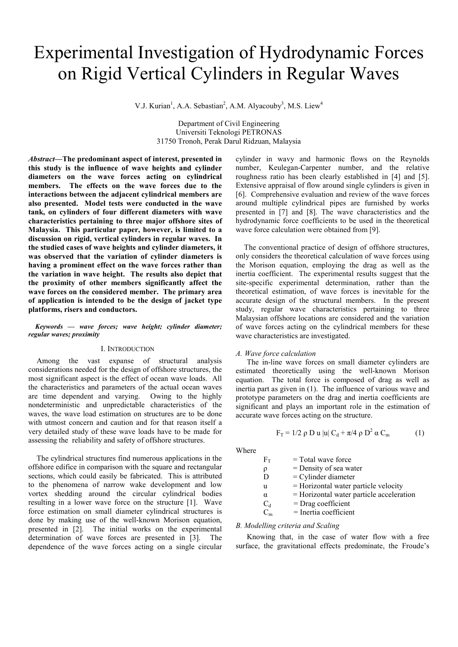# Experimental Investigation of Hydrodynamic Forces on Rigid Vertical Cylinders in Regular Waves

V.J. Kurian<sup>1</sup>, A.A. Sebastian<sup>2</sup>, A.M. Alyacouby<sup>3</sup>, M.S. Liew<sup>4</sup>

Department of Civil Engineering Universiti Teknologi PETRONAS 31750 Tronoh, Perak Darul Ridzuan, Malaysia

*Abstract—***The predominant aspect of interest, presented in this study is the influence of wave heights and cylinder diameters on the wave forces acting on cylindrical members. The effects on the wave forces due to the interactions between the adjacent cylindrical members are also presented. Model tests were conducted in the wave tank, on cylinders of four different diameters with wave characteristics pertaining to three major offshore sites of Malaysia. This particular paper, however, is limited to a discussion on rigid, vertical cylinders in regular waves. In the studied cases of wave heights and cylinder diameters, it was observed that the variation of cylinder diameters is having a prominent effect on the wave forces rather than the variation in wave height. The results also depict that the proximity of other members significantly affect the wave forces on the considered member. The primary area of application is intended to be the design of jacket type platforms, risers and conductors.** 

## *Keywords* **—** *wave forces; wave height; cylinder diameter; regular waves; proximity*

#### I. INTRODUCTION

Among the vast expanse of structural analysis considerations needed for the design of offshore structures, the most significant aspect is the effect of ocean wave loads. All the characteristics and parameters of the actual ocean waves are time dependent and varying. Owing to the highly nondeterministic and unpredictable characteristics of the waves, the wave load estimation on structures are to be done with utmost concern and caution and for that reason itself a very detailed study of these wave loads have to be made for assessing the reliability and safety of offshore structures.

The cylindrical structures find numerous applications in the offshore edifice in comparison with the square and rectangular sections, which could easily be fabricated. This is attributed to the phenomena of narrow wake development and low vortex shedding around the circular cylindrical bodies resulting in a lower wave force on the structure [1]. Wave force estimation on small diameter cylindrical structures is done by making use of the well-known Morison equation, presented in [2]. The initial works on the experimental determination of wave forces are presented in [3]. The dependence of the wave forces acting on a single circular

cylinder in wavy and harmonic flows on the Reynolds number, Keulegan-Carpenter number, and the relative roughness ratio has been clearly established in [4] and [5]. Extensive appraisal of flow around single cylinders is given in [6]. Comprehensive evaluation and review of the wave forces around multiple cylindrical pipes are furnished by works presented in [7] and [8]. The wave characteristics and the hydrodynamic force coefficients to be used in the theoretical wave force calculation were obtained from [9].

The conventional practice of design of offshore structures, only considers the theoretical calculation of wave forces using the Morison equation, employing the drag as well as the inertia coefficient. The experimental results suggest that the site-specific experimental determination, rather than the theoretical estimation, of wave forces is inevitable for the accurate design of the structural members. In the present study, regular wave characteristics pertaining to three Malaysian offshore locations are considered and the variation of wave forces acting on the cylindrical members for these wave characteristics are investigated.

#### *A. Wave force calculation*

The in-line wave forces on small diameter cylinders are estimated theoretically using the well-known Morison equation. The total force is composed of drag as well as inertia part as given in (1). The influence of various wave and prototype parameters on the drag and inertia coefficients are significant and plays an important role in the estimation of accurate wave forces acting on the structure.

$$
F_T = 1/2 \rho D u |u| C_d + \pi/4 \rho D^2 \alpha C_m \qquad (1)
$$

Where

| $\rm F_{T}$ | $=$ Total wave force                     |
|-------------|------------------------------------------|
| ρ           | $=$ Density of sea water                 |
| D           | $=$ Cylinder diameter                    |
| u           | = Horizontal water particle velocity     |
| α           | = Horizontal water particle acceleration |
| $C_d$       | $=$ Drag coefficient                     |
| $C_m$       | = Inertia coefficient                    |

#### *B. Modelling criteria and Scaling*

Knowing that, in the case of water flow with a free surface, the gravitational effects predominate, the Froude's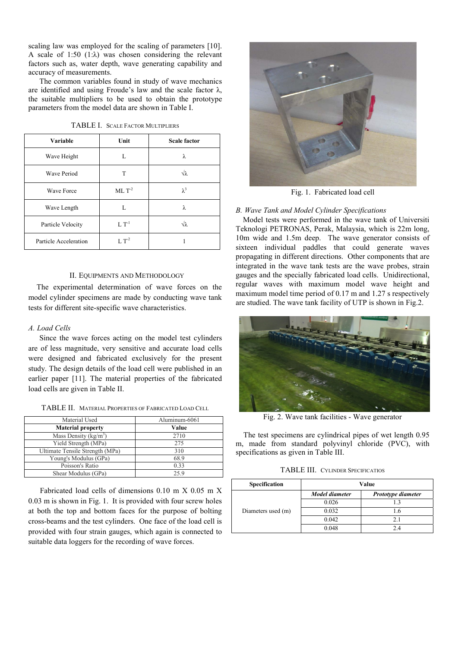scaling law was employed for the scaling of parameters [10]. A scale of 1:50 (1: $\lambda$ ) was chosen considering the relevant factors such as, water depth, wave generating capability and accuracy of measurements.

The common variables found in study of wave mechanics are identified and using Froude's law and the scale factor  $\lambda$ , the suitable multipliers to be used to obtain the prototype parameters from the model data are shown in Table I.

| TABLE I. SCALE FACTOR MULTIPLIERS |  |
|-----------------------------------|--|
|                                   |  |

| <b>Variable</b>       | Unit             | <b>Scale factor</b> |
|-----------------------|------------------|---------------------|
| Wave Height           | L                | λ                   |
| <b>Wave Period</b>    | T                | √λ                  |
| Wave Force            | $ML T-2$         | $\lambda^3$         |
| Wave Length           | L                | λ                   |
| Particle Velocity     | $L T-1$          | Jλ.                 |
| Particle Acceleration | L T <sup>2</sup> |                     |

## II. EQUIPMENTS AND METHODOLOGY

The experimental determination of wave forces on the model cylinder specimens are made by conducting wave tank tests for different site-specific wave characteristics.

## *A. Load Cells*

Since the wave forces acting on the model test cylinders are of less magnitude, very sensitive and accurate load cells were designed and fabricated exclusively for the present study. The design details of the load cell were published in an earlier paper [11]. The material properties of the fabricated load cells are given in Table II.

| Material Used                   | Aluminum-6061 |
|---------------------------------|---------------|
| <b>Material property</b>        | Value         |
| Mass Density ( $kg/m3$ )        | 2710          |
| Yield Strength (MPa)            | 275           |
| Ultimate Tensile Strength (MPa) | 310           |
| Young's Modulus (GPa)           | 68.9          |
| Poisson's Ratio                 | 0.33          |

Shear Modulus (GPa) 25.9

TABLE II. MATERIAL PROPERTIES OF FABRICATED LOAD CELL

 Fabricated load cells of dimensions 0.10 m X 0.05 m X 0.03 m is shown in Fig. 1. It is provided with four screw holes at both the top and bottom faces for the purpose of bolting cross-beams and the test cylinders. One face of the load cell is provided with four strain gauges, which again is connected to suitable data loggers for the recording of wave forces.



Fig. 1. Fabricated load cell

#### *B. Wave Tank and Model Cylinder Specifications*

Model tests were performed in the wave tank of Universiti Teknologi PETRONAS, Perak, Malaysia, which is 22m long, 10m wide and 1.5m deep. The wave generator consists of sixteen individual paddles that could generate waves propagating in different directions. Other components that are integrated in the wave tank tests are the wave probes, strain gauges and the specially fabricated load cells. Unidirectional, regular waves with maximum model wave height and maximum model time period of 0.17 m and 1.27 s respectively are studied. The wave tank facility of UTP is shown in Fig.2.



Fig. 2. Wave tank facilities - Wave generator

 The test specimens are cylindrical pipes of wet length 0.95 m, made from standard polyvinyl chloride (PVC), with specifications as given in Table III.

| <b>TABLE III. CYLINDER SPECIFICATIOS</b> |  |  |
|------------------------------------------|--|--|
|------------------------------------------|--|--|

| Specification      | Value          |                    |  |
|--------------------|----------------|--------------------|--|
|                    | Model diameter | Prototype diameter |  |
| Diameters used (m) | 0.026          |                    |  |
|                    | 0.032          | . .6               |  |
|                    | 0.042          |                    |  |
|                    | 0.048          |                    |  |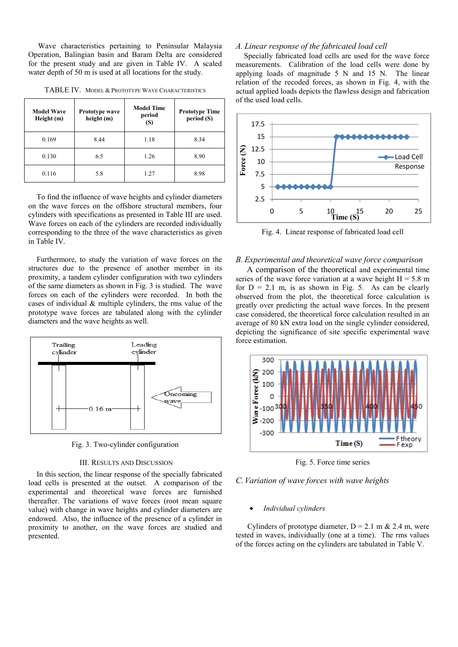Wave characteristics pertaining to Peninsular Malaysia Operation, Balingian basin and Baram Delta are considered for the present study and are given in Table IV. A scaled water depth of 50 m is used at all locations for the study.

| <b>Model Wave</b><br>Height (m) | <b>Prototype wave</b><br>height (m) | <b>Model Time</b><br>period<br>(S) | <b>Prototype Time</b><br>period (S) |
|---------------------------------|-------------------------------------|------------------------------------|-------------------------------------|
| 0.169                           | 8.44                                | 1.18                               | 8.34                                |
| 0.130                           | 6.5                                 | 1.26                               | 8.90                                |
| 0.116                           | 5.8                                 | 1.27                               | 8.98                                |

TABLE IV. MODEL & PROTOTYPE WAVE CHARACTERISTICS

To find the influence of wave heights and cylinder diameters on the wave forces on the offshore structural members, four cylinders with specifications as presented in Table III are used. Wave forces on each of the cylinders are recorded individually corresponding to the three of the wave characteristics as given in Table IV.

Furthermore, to study the variation of wave forces on the structures due to the presence of another member in its proximity, a tandem cylinder configuration with two cylinders of the same diameters as shown in Fig. 3 is studied. The wave forces on each of the cylinders were recorded. In both the cases of individual & multiple cylinders, the rms value of the prototype wave forces are tabulated along with the cylinder diameters and the wave heights as well.



Fig. 3. Two-cylinder configuration

## III. RESULTS AND DISCUSSION

In this section, the linear response of the specially fabricated load cells is presented at the outset. A comparison of the experimental and theoretical wave forces are furnished thereafter. The variations of wave forces (root mean square value) with change in wave heights and cylinder diameters are endowed. Also, the influence of the presence of a cylinder in proximity to another, on the wave forces are studied and presented.

## *A. Linear response of the fabricated load cell*

Specially fabricated load cells are used for the wave force measurements. Calibration of the load cells were done by applying loads of magnitude 5 N and 15 N. The linear relation of the recoded forces, as shown in Fig. 4, with the actual applied loads depicts the flawless design and fabrication of the used load cells.



Fig. 4. Linear response of fabricated load cell

## *B. Experimental and theoretical wave force comparison*

A comparison of the theoretical and experimental time series of the wave force variation at a wave height  $H = 5.8$  m for  $D = 2.1$  m, is as shown in Fig. 5. As can be clearly observed from the plot, the theoretical force calculation is greatly over predicting the actual wave forces. In the present case considered, the theoretical force calculation resulted in an average of 80 kN extra load on the single cylinder considered, depicting the significance of site specific experimental wave force estimation.



Fig. 5. Force time series

## *C.Variation of wave forces with wave heights*

## • *Individual cylinders*

Cylinders of prototype diameter,  $D = 2.1$  m & 2.4 m, were tested in waves, individually (one at a time). The rms values of the forces acting on the cylinders are tabulated in Table V.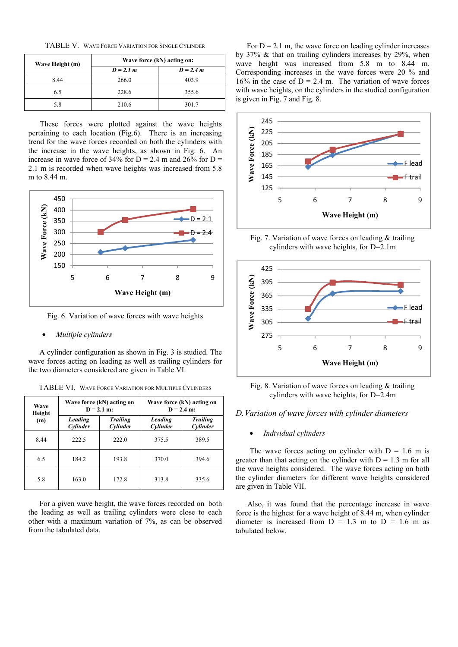TABLE V. WAVE FORCE VARIATION FOR SINGLE CYLINDER

| Wave Height (m) | Wave force (kN) acting on: |             |
|-----------------|----------------------------|-------------|
|                 | $D = 2.1 m$                | $D = 2.4 m$ |
| 8.44            | 266.0                      | 403.9       |
| 6.5             | 228.6                      | 355.6       |
| 5.8             | 210.6                      | 301.7       |

 These forces were plotted against the wave heights pertaining to each location (Fig.6). There is an increasing trend for the wave forces recorded on both the cylinders with the increase in the wave heights, as shown in Fig. 6. An increase in wave force of  $34\%$  for D = 2.4 m and  $26\%$  for D = 2.1 m is recorded when wave heights was increased from 5.8 m to 8.44 m.



Fig. 6. Variation of wave forces with wave heights

## • *Multiple cylinders*

A cylinder configuration as shown in Fig. 3 is studied. The wave forces acting on leading as well as trailing cylinders for the two diameters considered are given in Table VI.

| Wave<br>Height | Wave force (kN) acting on<br>$D = 2.1$ m: |                             | Wave force (kN) acting on<br>$D = 2.4$ m: |                             |
|----------------|-------------------------------------------|-----------------------------|-------------------------------------------|-----------------------------|
| (m)            | <b>Leading</b><br>Cylinder                | <b>Trailing</b><br>Cylinder | Leading<br>Cylinder                       | <b>Trailing</b><br>Cylinder |
| 8.44           | 222.5                                     | 222.0                       | 375.5                                     | 389.5                       |
| 6.5            | 184.2                                     | 193.8                       | 370.0                                     | 394.6                       |
| 5.8            | 163.0                                     | 172.8                       | 313.8                                     | 335.6                       |

TABLE VI. WAVE FORCE VARIATION FOR MULTIPLE CYLINDERS

For a given wave height, the wave forces recorded on both the leading as well as trailing cylinders were close to each other with a maximum variation of 7%, as can be observed from the tabulated data.

For  $D = 2.1$  m, the wave force on leading cylinder increases by 37% & that on trailing cylinders increases by 29%, when wave height was increased from 5.8 m to 8.44 m. Corresponding increases in the wave forces were 20 % and 16% in the case of  $D = 2.4$  m. The variation of wave forces with wave heights, on the cylinders in the studied configuration is given in Fig. 7 and Fig. 8.



Fig. 7. Variation of wave forces on leading  $&$  trailing cylinders with wave heights, for D=2.1m



Fig. 8. Variation of wave forces on leading & trailing cylinders with wave heights, for D=2.4m

## *D.Variation of wave forces with cylinder diameters*

• *Individual cylinders* 

The wave forces acting on cylinder with  $D = 1.6$  m is greater than that acting on the cylinder with  $D = 1.3$  m for all the wave heights considered. The wave forces acting on both the cylinder diameters for different wave heights considered are given in Table VII.

 Also, it was found that the percentage increase in wave force is the highest for a wave height of 8.44 m, when cylinder diameter is increased from  $D = 1.3$  m to  $D = 1.6$  m as tabulated below.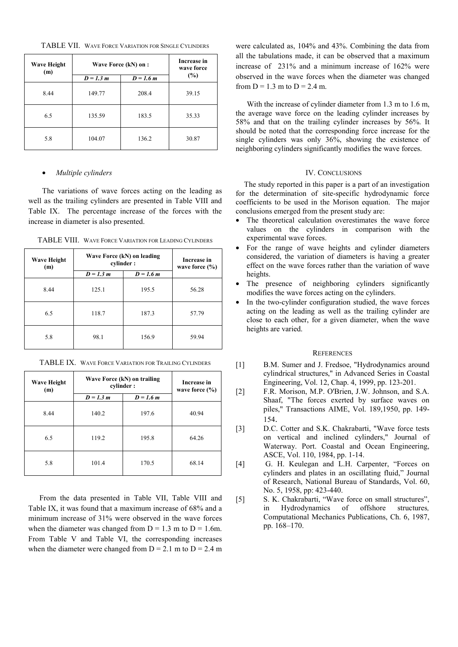TABLE VII. WAVE FORCE VARIATION FOR SINGLE CYLINDERS

| <b>Wave Height</b><br>(m) | Wave Force (kN) on : |             | Increase in<br>wave force |
|---------------------------|----------------------|-------------|---------------------------|
|                           | $D = 1.3 m$          | $D = 1.6 m$ | (%)                       |
| 8.44                      | 149.77               | 208.4       | 39.15                     |
| 6.5                       | 135.59               | 183.5       | 35.33                     |
| 5.8                       | 104.07               | 136.2       | 30.87                     |

## • *Multiple cylinders*

The variations of wave forces acting on the leading as well as the trailing cylinders are presented in Table VIII and Table IX. The percentage increase of the forces with the increase in diameter is also presented.

TABLE VIII. WAVE FORCE VARIATION FOR LEADING CYLINDERS

| <b>Wave Height</b><br>(m) | Wave Force (kN) on leading<br>cylinder: |             | Increase in<br>wave force $(\% )$ |
|---------------------------|-----------------------------------------|-------------|-----------------------------------|
|                           | $D = 1.3 m$                             | $D = 1.6 m$ |                                   |
| 8.44                      | 125.1                                   | 195.5       | 56.28                             |
| 6.5                       | 118.7                                   | 187.3       | 57.79                             |
| 5.8                       | 98.1                                    | 156.9       | 59.94                             |

TABLE IX. WAVE FORCE VARIATION FOR TRAILING CYLINDERS

| <b>Wave Height</b><br>(m) | Wave Force (kN) on trailing<br>cylinder: |             |       |  | <b>Increase in</b><br>wave force $(\% )$ |
|---------------------------|------------------------------------------|-------------|-------|--|------------------------------------------|
|                           | $D = 1.3 m$                              | $D = 1.6 m$ |       |  |                                          |
| 8.44                      | 140.2                                    | 197.6       | 40.94 |  |                                          |
| 6.5                       | 119.2                                    | 195.8       | 64.26 |  |                                          |
| 5.8                       | 101.4                                    | 170.5       | 68.14 |  |                                          |

From the data presented in Table VII, Table VIII and Table IX, it was found that a maximum increase of 68% and a minimum increase of 31% were observed in the wave forces when the diameter was changed from  $D = 1.3$  m to  $D = 1.6$ m. From Table V and Table VI, the corresponding increases when the diameter were changed from  $D = 2.1$  m to  $D = 2.4$  m

were calculated as, 104% and 43%. Combining the data from all the tabulations made, it can be observed that a maximum increase of 231% and a minimum increase of 162% were observed in the wave forces when the diameter was changed from  $D = 1.3$  m to  $D = 2.4$  m.

With the increase of cylinder diameter from 1.3 m to 1.6 m, the average wave force on the leading cylinder increases by 58% and that on the trailing cylinder increases by 56%. It should be noted that the corresponding force increase for the single cylinders was only 36%, showing the existence of neighboring cylinders significantly modifies the wave forces.

## IV. CONCLUSIONS

The study reported in this paper is a part of an investigation for the determination of site-specific hydrodynamic force coefficients to be used in the Morison equation. The major conclusions emerged from the present study are:

- The theoretical calculation overestimates the wave force values on the cylinders in comparison with the experimental wave forces.
- For the range of wave heights and cylinder diameters considered, the variation of diameters is having a greater effect on the wave forces rather than the variation of wave heights.
- The presence of neighboring cylinders significantly modifies the wave forces acting on the cylinders.
- In the two-cylinder configuration studied, the wave forces acting on the leading as well as the trailing cylinder are close to each other, for a given diameter, when the wave heights are varied.

#### **REFERENCES**

- [1] B.M. Sumer and J. Fredsoe, "Hydrodynamics around cylindrical structures," in Advanced Series in Coastal Engineering, Vol. 12, Chap. 4, 1999, pp. 123-201.
- [2] F.R. Morison, M.P. O'Brien, J.W. Johnson, and S.A. Shaaf, "The forces exerted by surface waves on piles," Transactions AIME, Vol. 189,1950, pp. 149- 154.
- [3] D.C. Cotter and S.K. Chakrabarti, "Wave force tests on vertical and inclined cylinders," Journal of Waterway. Port. Coastal and Ocean Engineering, ASCE, Vol. 110, 1984, pp. 1-14.
- [4] G. H. Keulegan and L.H. Carpenter, "Forces on cylinders and plates in an oscillating fluid," Journal of Research, National Bureau of Standards, Vol. 60, No. 5, 1958, pp: 423-440.
- [5] S. K. Chakrabarti, "Wave force on small structures", in Hydrodynamics of offshore structures*,*  Computational Mechanics Publications, Ch. 6, 1987, pp. 168*–*170.